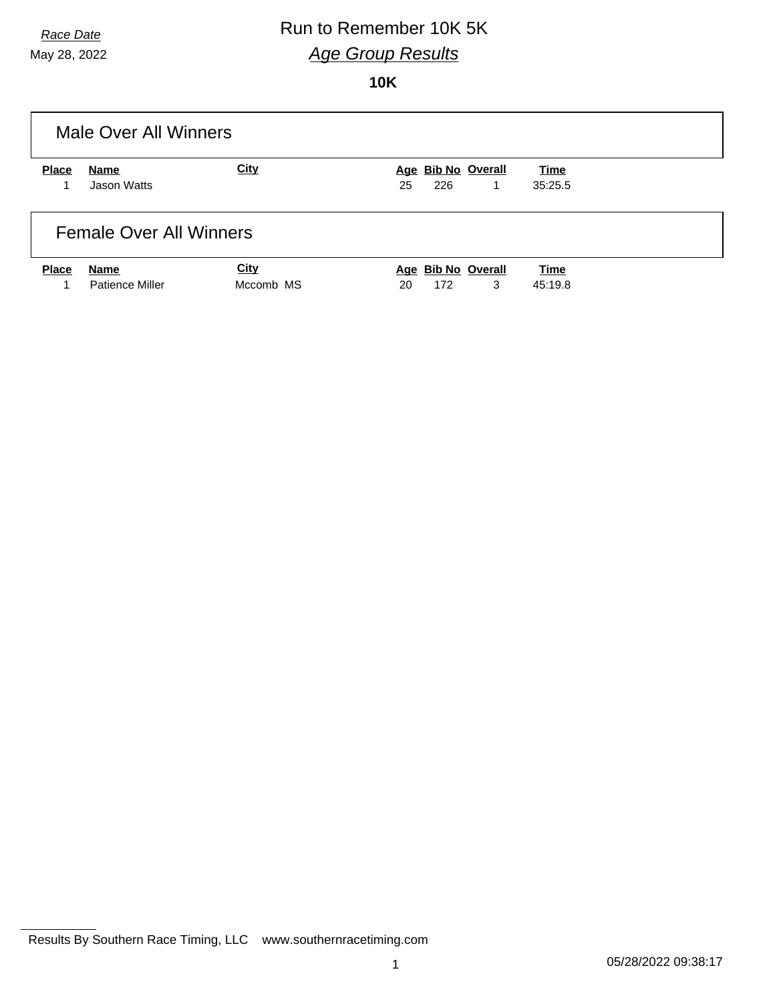#### *Race Date* Run to Remember 10K 5K *Age Group Results*

**10K**

|              | Male Over All Winners          |           |                    |             |
|--------------|--------------------------------|-----------|--------------------|-------------|
| <b>Place</b> | Name                           | City      | Age Bib No Overall | Time        |
|              | Jason Watts                    |           | 226<br>25<br>1     | 35:25.5     |
|              | <b>Female Over All Winners</b> |           |                    |             |
| <b>Place</b> | Name                           | City      | Age Bib No Overall | <b>Time</b> |
|              | Patience Miller                | Mccomb MS | 3<br>172<br>20     | 45:19.8     |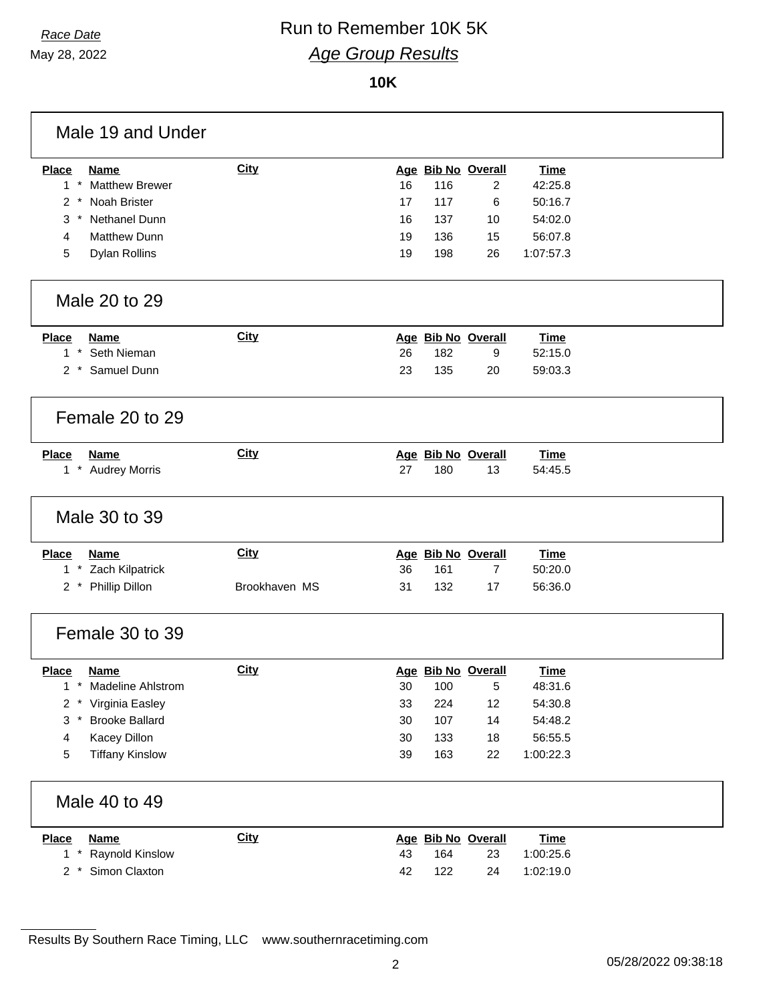#### *Race Date* Run to Remember 10K 5K *Age Group Results*

#### **10K**

| Male 19 and Under                     |               |    |     |                    |             |  |
|---------------------------------------|---------------|----|-----|--------------------|-------------|--|
| <b>Place</b><br><b>Name</b>           | <b>City</b>   |    |     | Age Bib No Overall | <b>Time</b> |  |
| $1 *$<br><b>Matthew Brewer</b>        |               | 16 | 116 | $\overline{2}$     | 42:25.8     |  |
| Noah Brister<br>$2 *$                 |               | 17 | 117 | 6                  | 50:16.7     |  |
| Nethanel Dunn<br>3                    |               | 16 | 137 | 10                 | 54:02.0     |  |
| <b>Matthew Dunn</b><br>4              |               | 19 | 136 | 15                 | 56:07.8     |  |
| 5<br><b>Dylan Rollins</b>             |               | 19 | 198 | 26                 | 1:07:57.3   |  |
| Male 20 to 29                         |               |    |     |                    |             |  |
| <b>Place</b><br><b>Name</b>           | <b>City</b>   |    |     | Age Bib No Overall | <b>Time</b> |  |
| $1*$<br>Seth Nieman                   |               | 26 | 182 | 9                  | 52:15.0     |  |
| $2^*$<br>Samuel Dunn                  |               | 23 | 135 | 20                 | 59:03.3     |  |
| Female 20 to 29                       |               |    |     |                    |             |  |
| <b>Place</b><br><b>Name</b>           | City          |    |     | Age Bib No Overall | <b>Time</b> |  |
| $1*$<br><b>Audrey Morris</b>          |               | 27 | 180 | 13                 | 54:45.5     |  |
| Male 30 to 39                         |               |    |     |                    |             |  |
| <b>Place</b><br><b>Name</b>           | <b>City</b>   |    |     | Age Bib No Overall | <b>Time</b> |  |
| Zach Kilpatrick<br>$1 *$              |               | 36 | 161 | $\overline{7}$     | 50:20.0     |  |
| 2 * Phillip Dillon                    | Brookhaven MS | 31 | 132 | 17                 | 56:36.0     |  |
| Female 30 to 39                       |               |    |     |                    |             |  |
| <b>Place</b><br><b>Name</b>           | <b>City</b>   |    |     | Age Bib No Overall | <b>Time</b> |  |
| Madeline Ahlstrom<br>1<br>$\ast$      |               | 30 | 100 | 5                  | 48:31.6     |  |
| $2 *$<br>Virginia Easley              |               | 33 | 224 | 12                 | 54:30.8     |  |
| 3<br><b>Brooke Ballard</b><br>$\star$ |               | 30 | 107 | 14                 | 54:48.2     |  |
| Kacey Dillon<br>4                     |               | 30 | 133 | 18                 | 56:55.5     |  |
| <b>Tiffany Kinslow</b><br>5           |               | 39 | 163 | 22                 | 1:00:22.3   |  |
| Male 40 to 49                         |               |    |     |                    |             |  |
| <b>Name</b><br><b>Place</b>           | <b>City</b>   |    |     | Age Bib No Overall | <b>Time</b> |  |
| $1*$<br>Raynold Kinslow               |               | 43 | 164 | 23                 | 1:00:25.6   |  |
| Simon Claxton<br>$2 *$                |               | 42 | 122 | 24                 | 1:02:19.0   |  |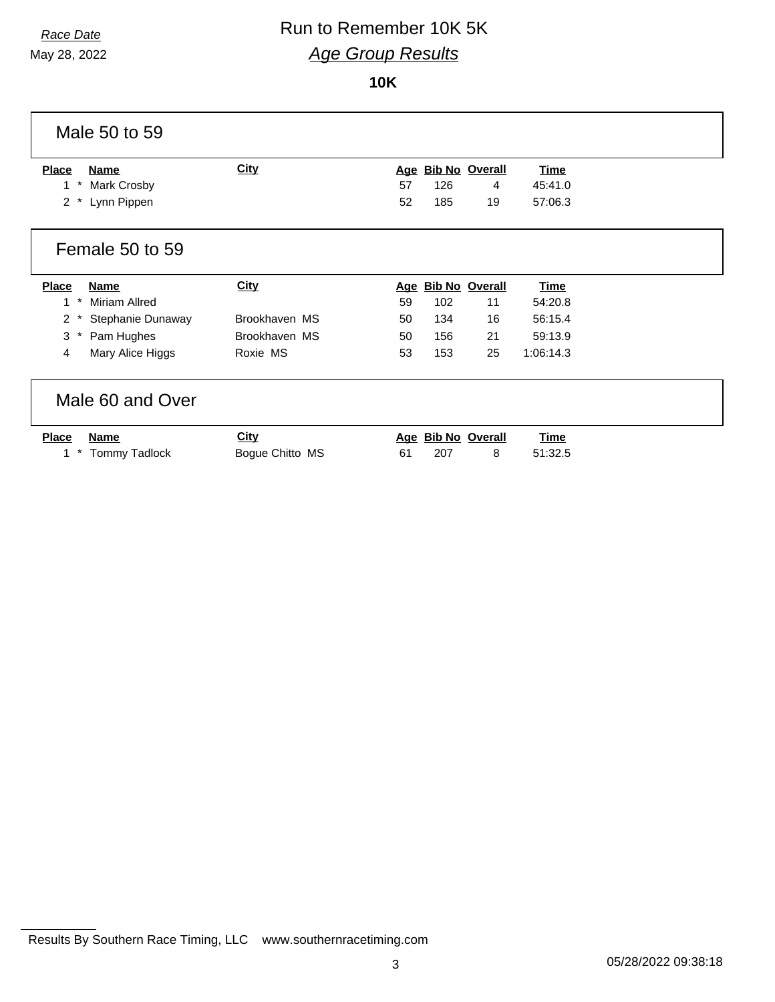#### *Race Date* Run to Remember 10K 5K *Age Group Results* **10K**

| Male 50 to 59                       |                 |                              |             |
|-------------------------------------|-----------------|------------------------------|-------------|
| Name<br><b>Place</b>                | <b>City</b>     | Age Bib No Overall           | <b>Time</b> |
| Mark Crosby<br>1.                   |                 | 57<br>126<br>4               | 45:41.0     |
| $\overline{2}$<br>Lynn Pippen       |                 | 52<br>185<br>19              | 57:06.3     |
| Female 50 to 59                     |                 |                              |             |
| <b>Place</b><br><b>Name</b>         | <b>City</b>     | <b>Bib No Overall</b><br>Age | <b>Time</b> |
| Miriam Allred<br>$\ast$<br>1        |                 | 59<br>102<br>11              | 54:20.8     |
| $\overline{2}$<br>Stephanie Dunaway | Brookhaven MS   | 16<br>134<br>50              | 56:15.4     |
| Pam Hughes<br>3                     | Brookhaven MS   | 21<br>156<br>50              | 59:13.9     |
| Mary Alice Higgs<br>4               | Roxie MS        | 53<br>153<br>25              | 1:06:14.3   |
| Male 60 and Over                    |                 |                              |             |
| <b>Place</b><br>Name                | <b>City</b>     | Age Bib No Overall           | <b>Time</b> |
| <b>Tommy Tadlock</b>                | Bogue Chitto MS | 207<br>61<br>8               | 51:32.5     |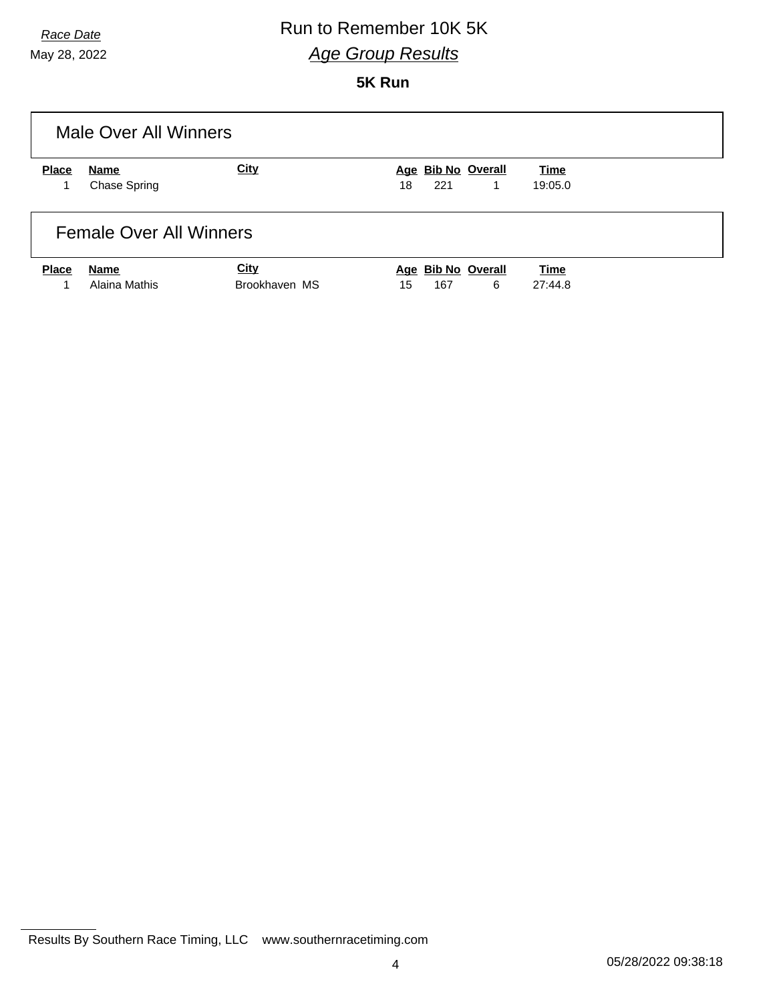#### *Race Date* Run to Remember 10K 5K *Age Group Results*

**5K Run**

|              | Male Over All Winners          |               |                          |         |
|--------------|--------------------------------|---------------|--------------------------|---------|
| <b>Place</b> | Name                           | <b>City</b>   | Age Bib No Overall       | Time    |
|              | <b>Chase Spring</b>            |               | 221<br>18<br>$\mathbf 1$ | 19:05.0 |
|              | <b>Female Over All Winners</b> |               |                          |         |
| <b>Place</b> | Name                           | <b>City</b>   | Age Bib No Overall       | Time    |
|              | Alaina Mathis                  | Brookhaven MS | 6<br>167<br>15           | 27:44.8 |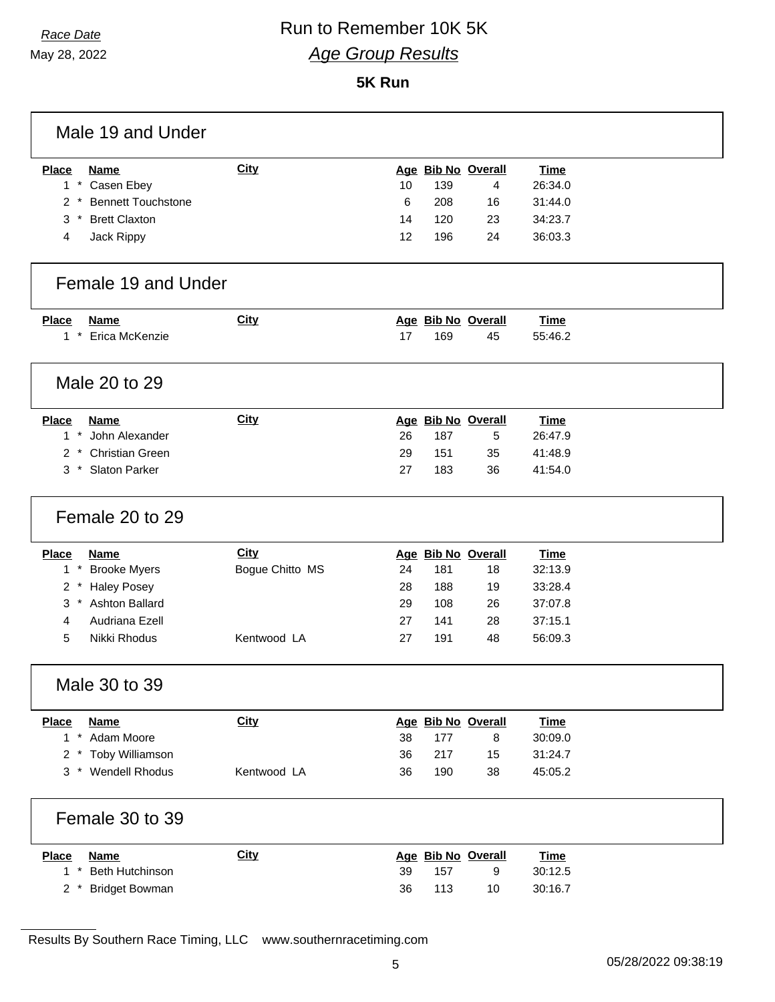## *Race Date* Run to Remember 10K 5K *Age Group Results*

**5K Run**

| Male 19 and Under                  |                 |                    |             |
|------------------------------------|-----------------|--------------------|-------------|
| <b>Place</b><br><b>Name</b>        | <b>City</b>     | Age Bib No Overall | <b>Time</b> |
| $1 *$<br>Casen Ebey                |                 | 10<br>139<br>4     | 26:34.0     |
| <b>Bennett Touchstone</b><br>$2^*$ |                 | 6<br>208<br>16     | 31:44.0     |
| <b>Brett Claxton</b><br>$3$ *      |                 | 14<br>120<br>23    | 34:23.7     |
| 4<br>Jack Rippy                    |                 | 12<br>196<br>24    | 36:03.3     |
| Female 19 and Under                |                 |                    |             |
| <b>Place</b><br><b>Name</b>        | <b>City</b>     | Age Bib No Overall | <b>Time</b> |
| $1 *$<br>Erica McKenzie            |                 | 17<br>169<br>45    | 55:46.2     |
| Male 20 to 29                      |                 |                    |             |
| <b>Place</b><br><b>Name</b>        | <b>City</b>     | Age Bib No Overall | <b>Time</b> |
| $1 *$<br>John Alexander            |                 | 26<br>187<br>5     | 26:47.9     |
| <b>Christian Green</b><br>$2^*$    |                 | 29<br>151<br>35    | 41:48.9     |
| 3 * Slaton Parker                  |                 | 27<br>183<br>36    | 41:54.0     |
| Female 20 to 29                    |                 |                    |             |
| <b>Place</b><br><b>Name</b>        | City            | Age Bib No Overall | <b>Time</b> |
| $1 *$<br><b>Brooke Myers</b>       | Bogue Chitto MS | 24<br>181<br>18    | 32:13.9     |
| <b>Haley Posey</b><br>$2^*$        |                 | 28<br>188<br>19    | 33:28.4     |
| 3 * Ashton Ballard                 |                 | 29<br>108<br>26    | 37:07.8     |
| Audriana Ezell<br>4                |                 | 27<br>141<br>28    | 37:15.1     |
| Nikki Rhodus<br>5                  | Kentwood LA     | 27<br>191<br>48    | 56:09.3     |
| Male 30 to 39                      |                 |                    |             |
| <b>Place</b><br><b>Name</b>        | City            | Age Bib No Overall | <b>Time</b> |
| 1 * Adam Moore                     |                 | 38<br>177<br>8     | 30:09.0     |
| 2 * Toby Williamson                |                 | 36<br>217<br>15    | 31:24.7     |
| <b>Wendell Rhodus</b><br>$3^*$     | Kentwood LA     | 36<br>190<br>38    | 45:05.2     |
| Female 30 to 39                    |                 |                    |             |
| <b>Place</b><br><b>Name</b>        | <b>City</b>     | Age Bib No Overall | <b>Time</b> |
| Beth Hutchinson<br>$1*$            |                 | 39<br>157<br>9     | 30:12.5     |
| <b>Bridget Bowman</b><br>$2^*$     |                 | 36<br>113<br>10    | 30:16.7     |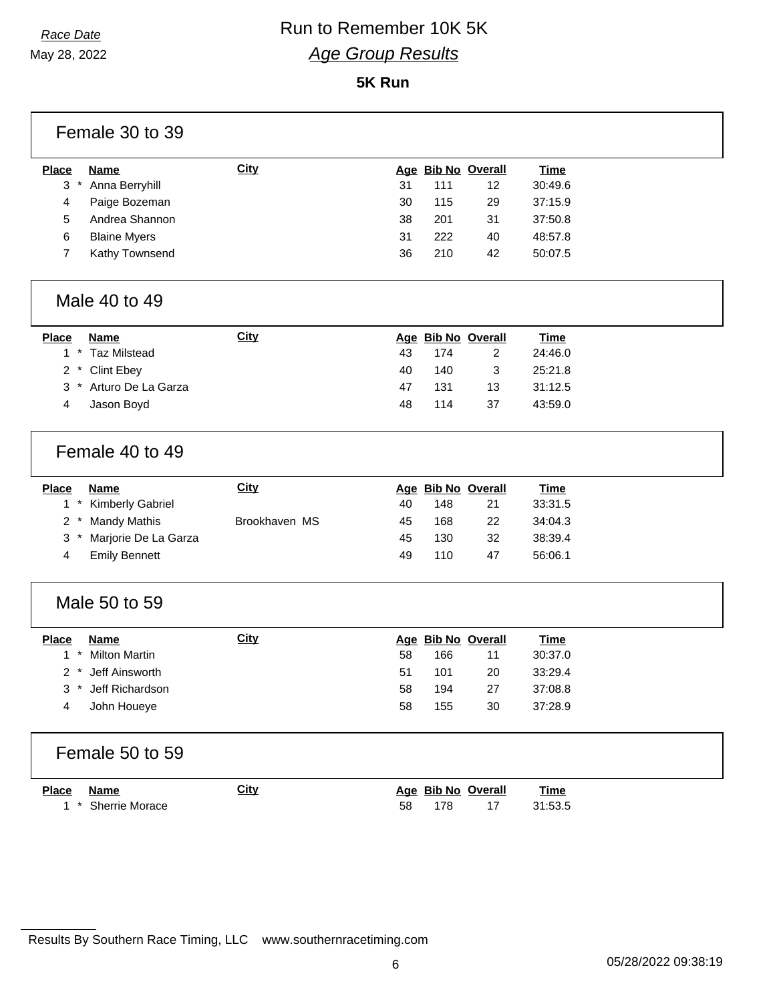## *Race Date* Run to Remember 10K 5K *Age Group Results*

**5K Run**

|                | Female 30 to 39         |               |    |                    |                    |             |  |
|----------------|-------------------------|---------------|----|--------------------|--------------------|-------------|--|
| <b>Place</b>   | <b>Name</b>             | <b>City</b>   |    | Age Bib No Overall |                    | <b>Time</b> |  |
| $3*$           | Anna Berryhill          |               | 31 | 111                | 12                 | 30:49.6     |  |
| 4              | Paige Bozeman           |               | 30 | 115                | 29                 | 37:15.9     |  |
| 5              | Andrea Shannon          |               | 38 | 201                | 31                 | 37:50.8     |  |
| 6              | <b>Blaine Myers</b>     |               | 31 | 222                | 40                 | 48:57.8     |  |
| $\overline{7}$ | Kathy Townsend          |               | 36 | 210                | 42                 | 50:07.5     |  |
|                | Male 40 to 49           |               |    |                    |                    |             |  |
| <b>Place</b>   | <b>Name</b>             | <b>City</b>   |    | Age Bib No Overall |                    | <b>Time</b> |  |
|                | 1 * Taz Milstead        |               | 43 | 174                | $\overline{2}$     | 24:46.0     |  |
| $2^*$          | <b>Clint Ebey</b>       |               | 40 | 140                | 3                  | 25:21.8     |  |
|                | 3 * Arturo De La Garza  |               | 47 | 131                | 13                 | 31:12.5     |  |
| 4              | Jason Boyd              |               | 48 | 114                | 37                 | 43:59.0     |  |
|                | Female 40 to 49         |               |    |                    |                    |             |  |
|                |                         |               |    |                    |                    |             |  |
| <b>Place</b>   | <b>Name</b>             | <b>City</b>   |    | Age Bib No Overall |                    | <b>Time</b> |  |
| $1*$           | <b>Kimberly Gabriel</b> |               | 40 | 148                | 21                 | 33:31.5     |  |
| $2^*$          | <b>Mandy Mathis</b>     | Brookhaven MS | 45 | 168                | 22                 | 34:04.3     |  |
| $3*$           | Marjorie De La Garza    |               | 45 | 130                | 32                 | 38:39.4     |  |
| 4              | <b>Emily Bennett</b>    |               | 49 | 110                | 47                 | 56:06.1     |  |
|                | Male 50 to 59           |               |    |                    |                    |             |  |
| <b>Place</b>   | <b>Name</b>             | <b>City</b>   |    |                    | Age Bib No Overall | <b>Time</b> |  |
| $1 *$          | <b>Milton Martin</b>    |               | 58 | 166                | 11                 | 30:37.0     |  |
|                | 2 * Jeff Ainsworth      |               | 51 | 101                | 20                 | 33:29.4     |  |
|                | 3 * Jeff Richardson     |               | 58 | 194                | 27                 | 37:08.8     |  |
| 4              | John Houeye             |               | 58 | 155                | 30                 | 37:28.9     |  |
|                | Female 50 to 59         |               |    |                    |                    |             |  |
| <b>Place</b>   | <b>Name</b>             | <b>City</b>   |    | Age Bib No Overall |                    | <b>Time</b> |  |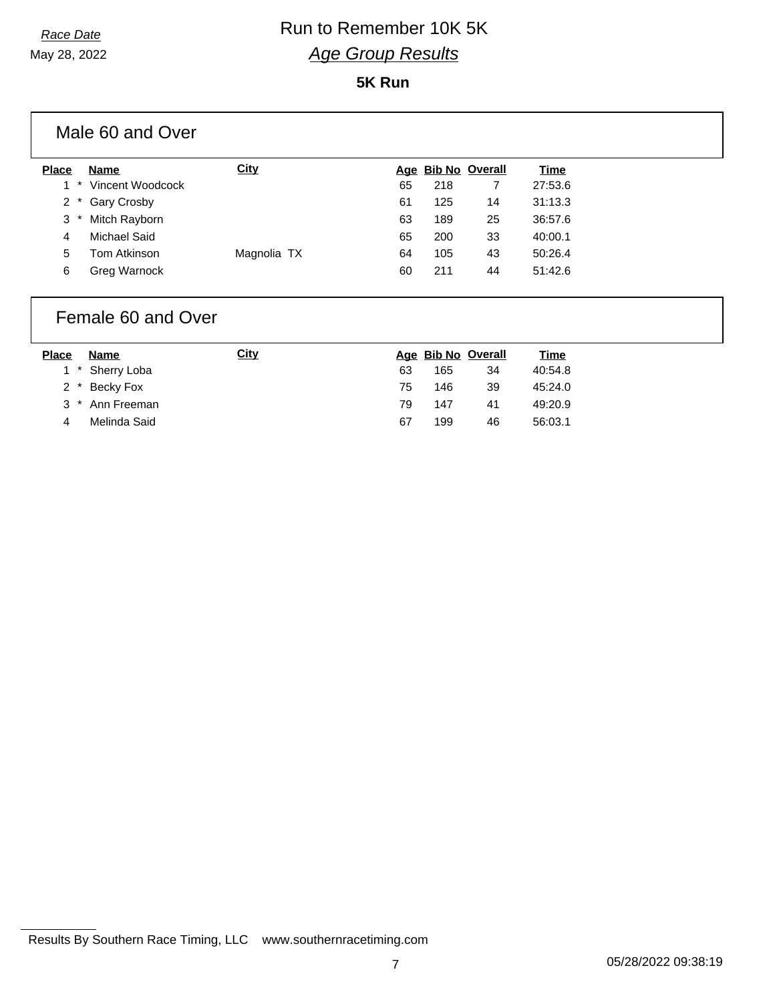### *Race Date* Run to Remember 10K 5K *Age Group Results*

#### **5K Run**

| Male 60 and Over     |             |    |     |                    |             |
|----------------------|-------------|----|-----|--------------------|-------------|
| Name<br><b>Place</b> | <b>City</b> |    |     | Age Bib No Overall | <b>Time</b> |
| Vincent Woodcock     |             | 65 | 218 |                    | 27:53.6     |
| Gary Crosby<br>$2^*$ |             | 61 | 125 | 14                 | 31:13.3     |
| Mitch Rayborn<br>3   |             | 63 | 189 | 25                 | 36:57.6     |
| Michael Said<br>4    |             | 65 | 200 | 33                 | 40:00.1     |
| 5<br>Tom Atkinson    | Magnolia TX | 64 | 105 | 43                 | 50:26.4     |
| 6<br>Greg Warnock    |             | 60 | 211 | 44                 | 51:42.6     |
|                      |             |    |     |                    |             |

#### Female 60 and Over

| <b>Place</b> | Name            | <u>City</u> |    | Age Bib No Overall |    | <u>Time</u> |
|--------------|-----------------|-------------|----|--------------------|----|-------------|
|              | 1 * Sherry Loba |             | 63 | 165                | 34 | 40:54.8     |
|              | 2 * Becky Fox   |             | 75 | 146                | 39 | 45:24.0     |
|              | 3 * Ann Freeman |             | 79 | 147                | 41 | 49:20.9     |
| 4            | Melinda Said    |             | 67 | 199                | 46 | 56:03.1     |
|              |                 |             |    |                    |    |             |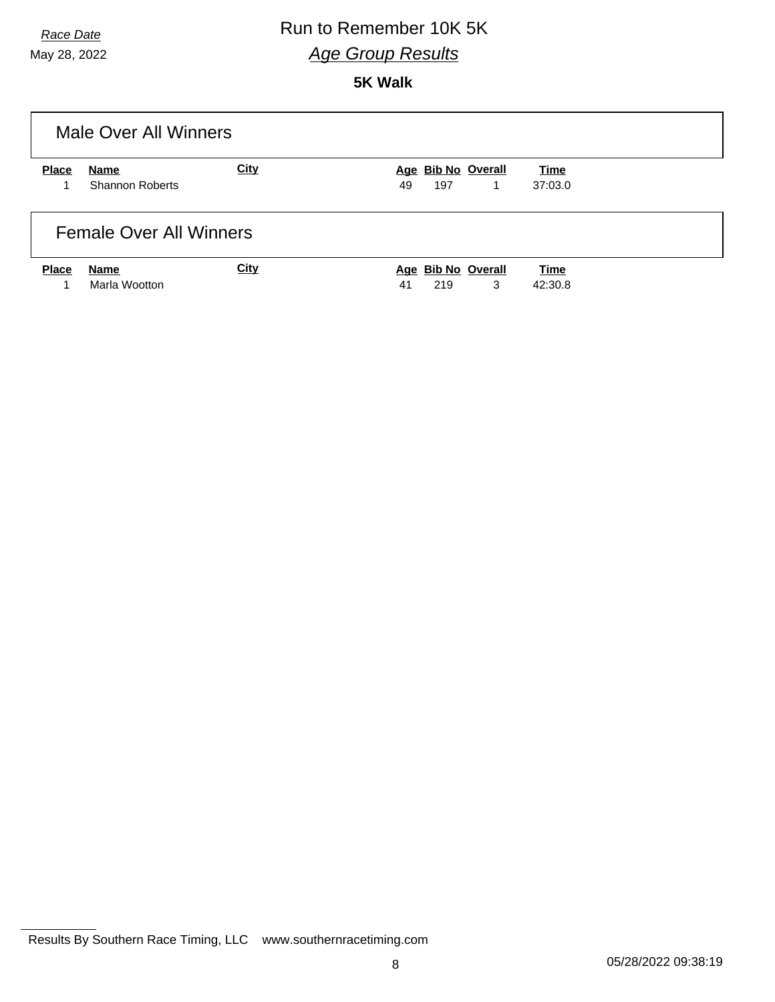## *Race Date* Run to Remember 10K 5K *Age Group Results*

**5K Walk**

|              | Male Over All Winners                 |             |                                      |                        |
|--------------|---------------------------------------|-------------|--------------------------------------|------------------------|
| <b>Place</b> | <b>Name</b><br><b>Shannon Roberts</b> | City        | Age Bib No Overall<br>197<br>49<br>1 | <b>Time</b><br>37:03.0 |
|              | <b>Female Over All Winners</b>        |             |                                      |                        |
| <b>Place</b> | <b>Name</b><br>Marla Wootton          | <b>City</b> | Age Bib No Overall<br>3<br>41<br>219 | <b>Time</b><br>42:30.8 |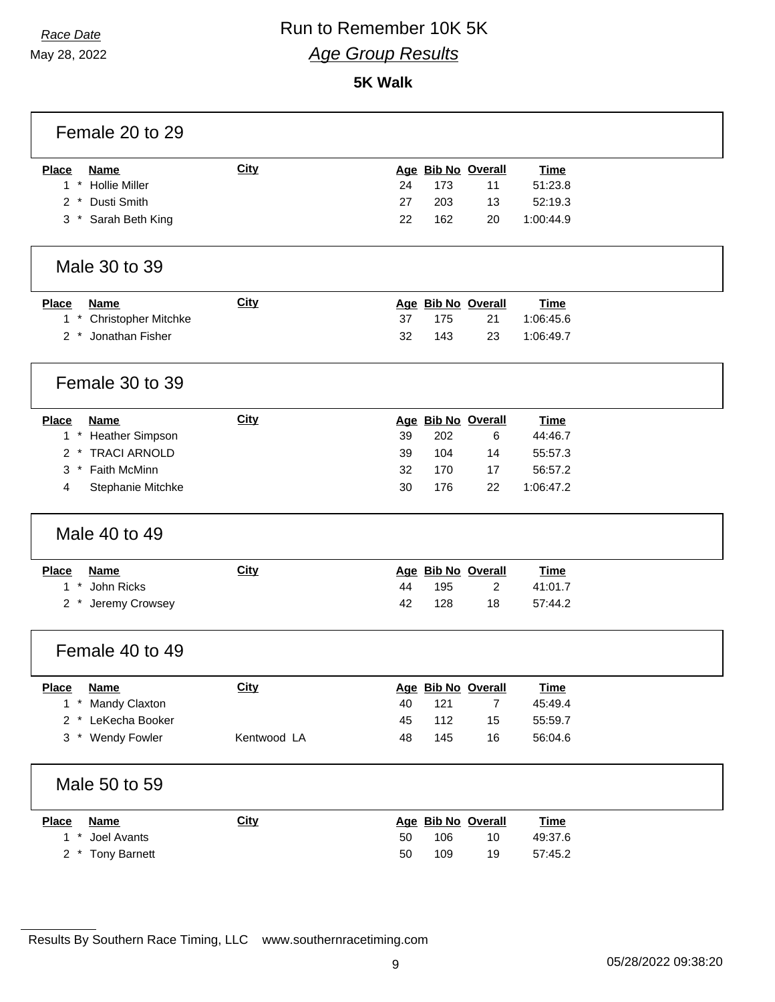# *Race Date* Run to Remember 10K 5K *Age Group Results*

**5K Walk**

| Female 20 to 29                          |             |    |     |                    |             |  |
|------------------------------------------|-------------|----|-----|--------------------|-------------|--|
| Name<br><b>Place</b>                     | City        |    |     | Age Bib No Overall | <b>Time</b> |  |
| $1 *$<br><b>Hollie Miller</b>            |             | 24 | 173 | 11                 | 51:23.8     |  |
| Dusti Smith<br>2                         |             | 27 | 203 | 13                 | 52:19.3     |  |
| 3 * Sarah Beth King                      |             | 22 | 162 | 20                 | 1:00:44.9   |  |
| Male 30 to 39                            |             |    |     |                    |             |  |
| <b>Place</b><br><b>Name</b>              | <b>City</b> |    |     | Age Bib No Overall | <b>Time</b> |  |
| 1 * Christopher Mitchke                  |             | 37 | 175 | 21                 | 1:06:45.6   |  |
| 2 * Jonathan Fisher                      |             | 32 | 143 | 23                 | 1:06:49.7   |  |
| Female 30 to 39                          |             |    |     |                    |             |  |
| <b>Place</b><br><b>Name</b>              | <b>City</b> |    |     | Age Bib No Overall | <b>Time</b> |  |
| 1 * Heather Simpson                      |             | 39 | 202 | 6                  | 44:46.7     |  |
| 2 * TRACI ARNOLD                         |             | 39 | 104 | 14                 | 55:57.3     |  |
| * Faith McMinn<br>3                      |             | 32 | 170 | 17                 | 56:57.2     |  |
| 4<br>Stephanie Mitchke                   |             | 30 | 176 | 22                 | 1:06:47.2   |  |
| Male 40 to 49                            |             |    |     |                    |             |  |
| <b>Place</b><br><b>Name</b>              | <b>City</b> |    |     | Age Bib No Overall | <b>Time</b> |  |
| 1 * John Ricks                           |             | 44 | 195 | $\overline{c}$     | 41:01.7     |  |
| Jeremy Crowsey<br>$2^*$                  |             | 42 | 128 | 18                 | 57:44.2     |  |
| Female 40 to 49                          |             |    |     |                    |             |  |
| <b>Place</b><br><b>Name</b>              | <u>City</u> |    |     | Age Bib No Overall | <b>Time</b> |  |
| $\mathbf{1}$<br>$\star$<br>Mandy Claxton |             | 40 | 121 | $\overline{7}$     | 45:49.4     |  |
| LeKecha Booker<br>$2^*$                  |             | 45 | 112 | 15                 | 55:59.7     |  |
| 3 * Wendy Fowler                         | Kentwood LA | 48 | 145 | 16                 | 56:04.6     |  |
| Male 50 to 59                            |             |    |     |                    |             |  |
| <b>Place</b><br><b>Name</b>              | City        |    |     | Age Bib No Overall | <b>Time</b> |  |
| $\star$<br>Joel Avants<br>1              |             | 50 | 106 | 10                 | 49:37.6     |  |
| <b>Tony Barnett</b><br>$2 *$             |             | 50 | 109 | 19                 | 57:45.2     |  |